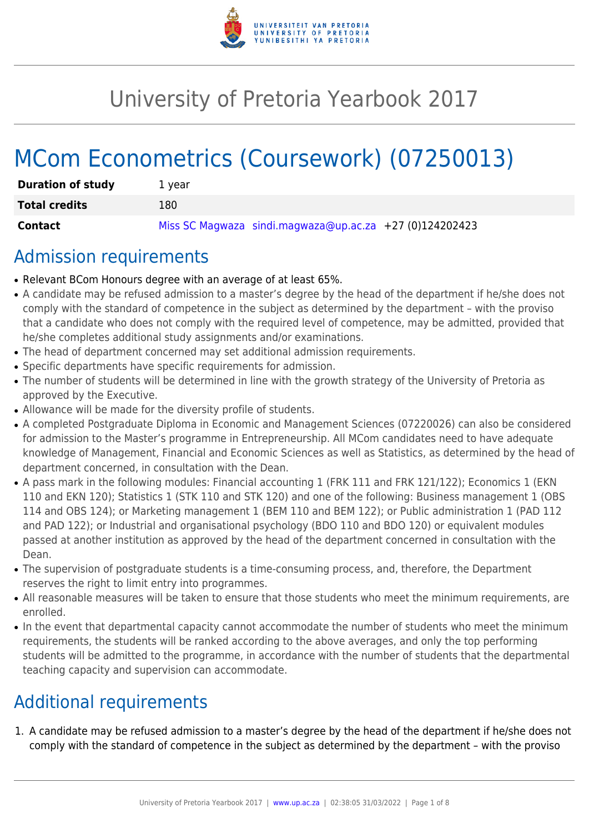

# University of Pretoria Yearbook 2017

# MCom Econometrics (Coursework) (07250013)

| <b>Duration of study</b> | 1 vear                                                    |
|--------------------------|-----------------------------------------------------------|
| <b>Total credits</b>     | 180                                                       |
| Contact                  | Miss SC Magwaza sindi.magwaza@up.ac.za $+27$ (0)124202423 |

# Admission requirements

- Relevant BCom Honours degree with an average of at least 65%.
- A candidate may be refused admission to a master's degree by the head of the department if he/she does not comply with the standard of competence in the subject as determined by the department – with the proviso that a candidate who does not comply with the required level of competence, may be admitted, provided that he/she completes additional study assignments and/or examinations.
- The head of department concerned may set additional admission requirements.
- Specific departments have specific requirements for admission.
- The number of students will be determined in line with the growth strategy of the University of Pretoria as approved by the Executive.
- Allowance will be made for the diversity profile of students.
- A completed Postgraduate Diploma in Economic and Management Sciences (07220026) can also be considered for admission to the Master's programme in Entrepreneurship. All MCom candidates need to have adequate knowledge of Management, Financial and Economic Sciences as well as Statistics, as determined by the head of department concerned, in consultation with the Dean.
- A pass mark in the following modules: Financial accounting 1 (FRK 111 and FRK 121/122); Economics 1 (EKN 110 and EKN 120); Statistics 1 (STK 110 and STK 120) and one of the following: Business management 1 (OBS 114 and OBS 124); or Marketing management 1 (BEM 110 and BEM 122); or Public administration 1 (PAD 112 and PAD 122); or Industrial and organisational psychology (BDO 110 and BDO 120) or equivalent modules passed at another institution as approved by the head of the department concerned in consultation with the Dean.
- The supervision of postgraduate students is a time-consuming process, and, therefore, the Department reserves the right to limit entry into programmes.
- All reasonable measures will be taken to ensure that those students who meet the minimum requirements, are enrolled.
- In the event that departmental capacity cannot accommodate the number of students who meet the minimum requirements, the students will be ranked according to the above averages, and only the top performing students will be admitted to the programme, in accordance with the number of students that the departmental teaching capacity and supervision can accommodate.

# Additional requirements

1. A candidate may be refused admission to a master's degree by the head of the department if he/she does not comply with the standard of competence in the subject as determined by the department – with the proviso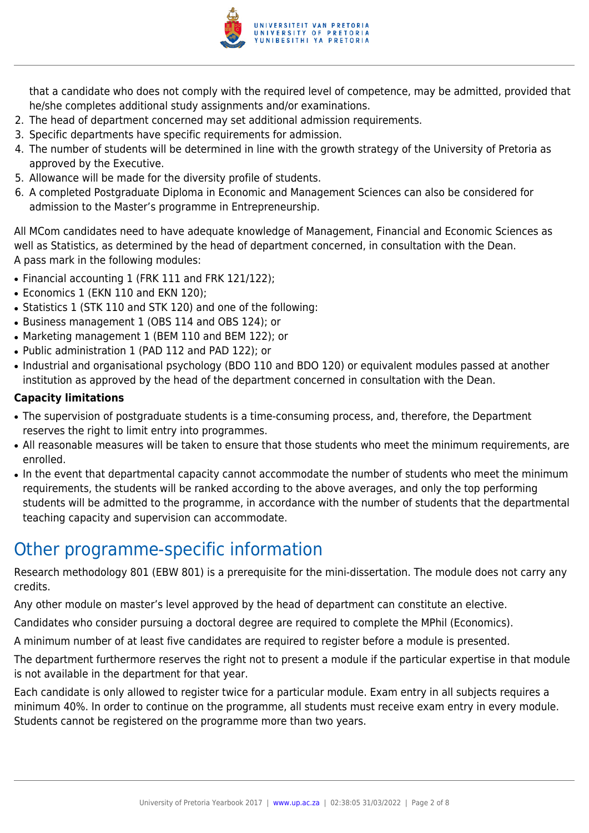

that a candidate who does not comply with the required level of competence, may be admitted, provided that he/she completes additional study assignments and/or examinations.

- 2. The head of department concerned may set additional admission requirements.
- 3. Specific departments have specific requirements for admission.
- 4. The number of students will be determined in line with the growth strategy of the University of Pretoria as approved by the Executive.
- 5. Allowance will be made for the diversity profile of students.
- 6. A completed Postgraduate Diploma in Economic and Management Sciences can also be considered for admission to the Master's programme in Entrepreneurship.

All MCom candidates need to have adequate knowledge of Management, Financial and Economic Sciences as well as Statistics, as determined by the head of department concerned, in consultation with the Dean. A pass mark in the following modules:

- Financial accounting 1 (FRK 111 and FRK 121/122);
- Economics 1 (EKN 110 and EKN 120):
- Statistics 1 (STK 110 and STK 120) and one of the following:
- Business management 1 (OBS 114 and OBS 124); or
- Marketing management 1 (BEM 110 and BEM 122); or
- Public administration 1 (PAD 112 and PAD 122); or
- Industrial and organisational psychology (BDO 110 and BDO 120) or equivalent modules passed at another institution as approved by the head of the department concerned in consultation with the Dean.

# **Capacity limitations**

- The supervision of postgraduate students is a time-consuming process, and, therefore, the Department reserves the right to limit entry into programmes.
- All reasonable measures will be taken to ensure that those students who meet the minimum requirements, are enrolled.
- In the event that departmental capacity cannot accommodate the number of students who meet the minimum requirements, the students will be ranked according to the above averages, and only the top performing students will be admitted to the programme, in accordance with the number of students that the departmental teaching capacity and supervision can accommodate.

# Other programme-specific information

Research methodology 801 (EBW 801) is a prerequisite for the mini-dissertation. The module does not carry any credits.

Any other module on master's level approved by the head of department can constitute an elective.

Candidates who consider pursuing a doctoral degree are required to complete the MPhil (Economics).

A minimum number of at least five candidates are required to register before a module is presented.

The department furthermore reserves the right not to present a module if the particular expertise in that module is not available in the department for that year.

Each candidate is only allowed to register twice for a particular module. Exam entry in all subjects requires a minimum 40%. In order to continue on the programme, all students must receive exam entry in every module. Students cannot be registered on the programme more than two years.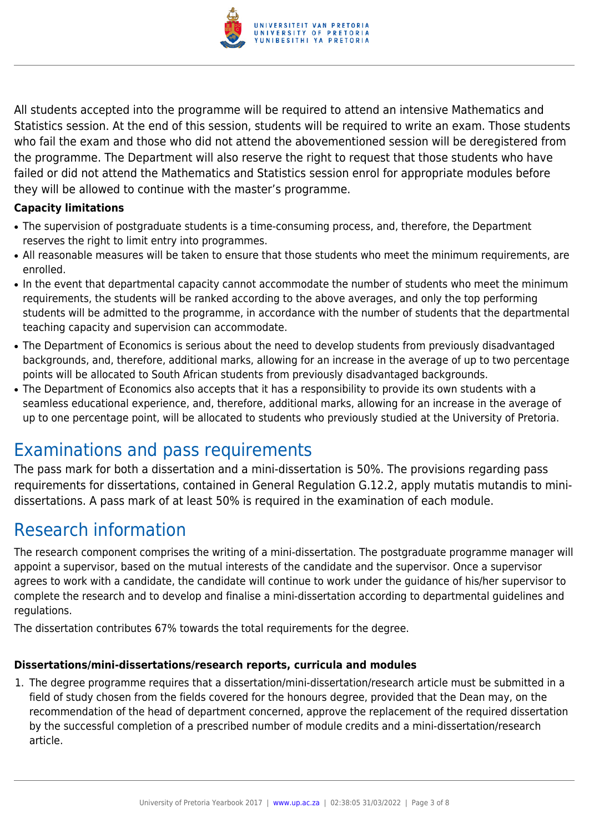

All students accepted into the programme will be required to attend an intensive Mathematics and Statistics session. At the end of this session, students will be required to write an exam. Those students who fail the exam and those who did not attend the abovementioned session will be deregistered from the programme. The Department will also reserve the right to request that those students who have failed or did not attend the Mathematics and Statistics session enrol for appropriate modules before they will be allowed to continue with the master's programme.

### **Capacity limitations**

- The supervision of postgraduate students is a time-consuming process, and, therefore, the Department reserves the right to limit entry into programmes.
- All reasonable measures will be taken to ensure that those students who meet the minimum requirements, are enrolled.
- In the event that departmental capacity cannot accommodate the number of students who meet the minimum requirements, the students will be ranked according to the above averages, and only the top performing students will be admitted to the programme, in accordance with the number of students that the departmental teaching capacity and supervision can accommodate.
- The Department of Economics is serious about the need to develop students from previously disadvantaged backgrounds, and, therefore, additional marks, allowing for an increase in the average of up to two percentage points will be allocated to South African students from previously disadvantaged backgrounds.
- The Department of Economics also accepts that it has a responsibility to provide its own students with a seamless educational experience, and, therefore, additional marks, allowing for an increase in the average of up to one percentage point, will be allocated to students who previously studied at the University of Pretoria.

# Examinations and pass requirements

The pass mark for both a dissertation and a mini-dissertation is 50%. The provisions regarding pass requirements for dissertations, contained in General Regulation G.12.2, apply mutatis mutandis to minidissertations. A pass mark of at least 50% is required in the examination of each module.

# Research information

The research component comprises the writing of a mini-dissertation. The postgraduate programme manager will appoint a supervisor, based on the mutual interests of the candidate and the supervisor. Once a supervisor agrees to work with a candidate, the candidate will continue to work under the guidance of his/her supervisor to complete the research and to develop and finalise a mini-dissertation according to departmental guidelines and regulations.

The dissertation contributes 67% towards the total requirements for the degree.

## **Dissertations/mini-dissertations/research reports, curricula and modules**

1. The degree programme requires that a dissertation/mini-dissertation/research article must be submitted in a field of study chosen from the fields covered for the honours degree, provided that the Dean may, on the recommendation of the head of department concerned, approve the replacement of the required dissertation by the successful completion of a prescribed number of module credits and a mini-dissertation/research article.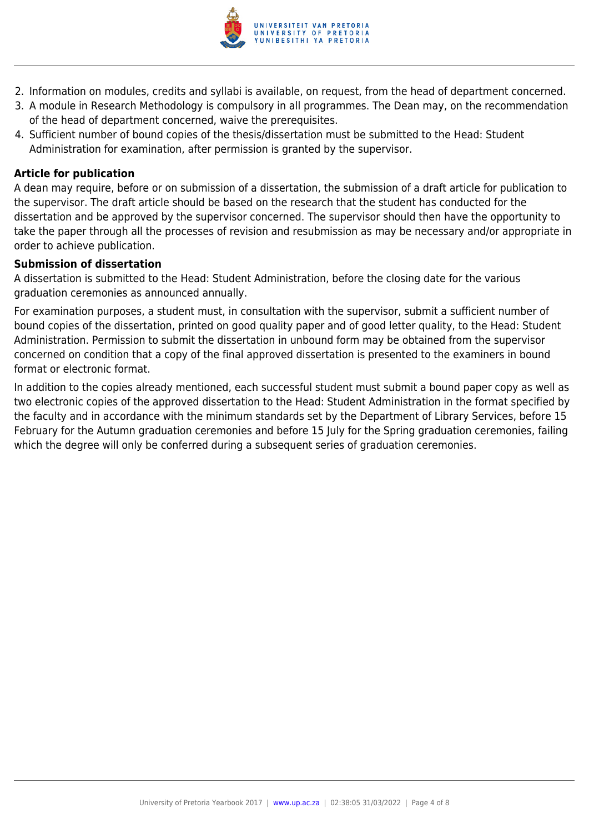

- 2. Information on modules, credits and syllabi is available, on request, from the head of department concerned.
- 3. A module in Research Methodology is compulsory in all programmes. The Dean may, on the recommendation of the head of department concerned, waive the prerequisites.
- 4. Sufficient number of bound copies of the thesis/dissertation must be submitted to the Head: Student Administration for examination, after permission is granted by the supervisor.

#### **Article for publication**

A dean may require, before or on submission of a dissertation, the submission of a draft article for publication to the supervisor. The draft article should be based on the research that the student has conducted for the dissertation and be approved by the supervisor concerned. The supervisor should then have the opportunity to take the paper through all the processes of revision and resubmission as may be necessary and/or appropriate in order to achieve publication.

#### **Submission of dissertation**

A dissertation is submitted to the Head: Student Administration, before the closing date for the various graduation ceremonies as announced annually.

For examination purposes, a student must, in consultation with the supervisor, submit a sufficient number of bound copies of the dissertation, printed on good quality paper and of good letter quality, to the Head: Student Administration. Permission to submit the dissertation in unbound form may be obtained from the supervisor concerned on condition that a copy of the final approved dissertation is presented to the examiners in bound format or electronic format.

In addition to the copies already mentioned, each successful student must submit a bound paper copy as well as two electronic copies of the approved dissertation to the Head: Student Administration in the format specified by the faculty and in accordance with the minimum standards set by the Department of Library Services, before 15 February for the Autumn graduation ceremonies and before 15 July for the Spring graduation ceremonies, failing which the degree will only be conferred during a subsequent series of graduation ceremonies.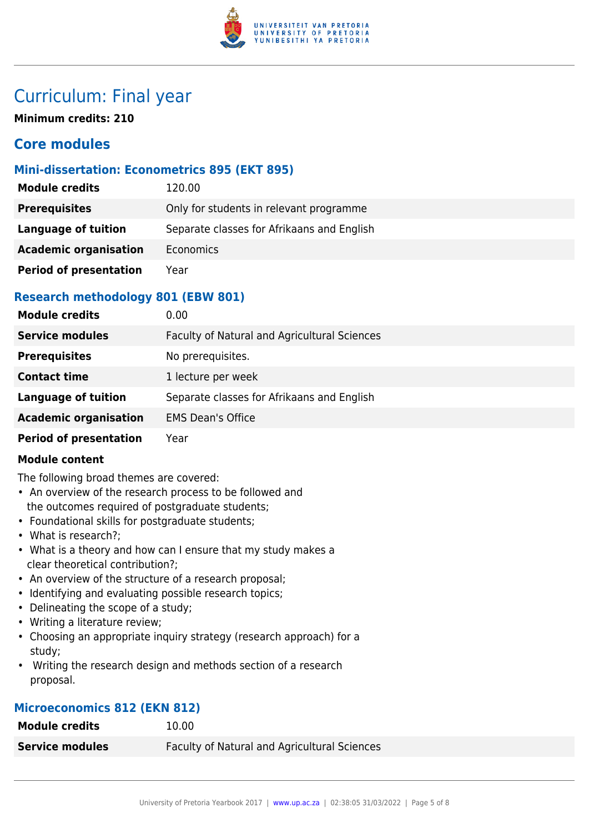

# Curriculum: Final year

**Minimum credits: 210**

# **Core modules**

# **Mini-dissertation: Econometrics 895 (EKT 895)**

| <b>Module credits</b>         | 120.00                                     |
|-------------------------------|--------------------------------------------|
| <b>Prerequisites</b>          | Only for students in relevant programme    |
| Language of tuition           | Separate classes for Afrikaans and English |
| <b>Academic organisation</b>  | <b>Economics</b>                           |
| <b>Period of presentation</b> | Year                                       |

# **Research methodology 801 (EBW 801)**

| <b>Module credits</b>         | 0.00                                         |
|-------------------------------|----------------------------------------------|
| <b>Service modules</b>        | Faculty of Natural and Agricultural Sciences |
| <b>Prerequisites</b>          | No prerequisites.                            |
| <b>Contact time</b>           | 1 lecture per week                           |
| <b>Language of tuition</b>    | Separate classes for Afrikaans and English   |
| <b>Academic organisation</b>  | <b>EMS Dean's Office</b>                     |
| <b>Period of presentation</b> | Year                                         |

### **Module content**

The following broad themes are covered:

- An overview of the research process to be followed and the outcomes required of postgraduate students;
- Foundational skills for postgraduate students;
- What is research?;
- What is a theory and how can I ensure that my study makes a clear theoretical contribution?;
- An overview of the structure of a research proposal;
- Identifying and evaluating possible research topics;
- Delineating the scope of a study;
- Writing a literature review;
- Choosing an appropriate inquiry strategy (research approach) for a study;
- Writing the research design and methods section of a research proposal.

## **Microeconomics 812 (EKN 812)**

| <b>Module credits</b>  | 10.00                                        |
|------------------------|----------------------------------------------|
| <b>Service modules</b> | Faculty of Natural and Agricultural Sciences |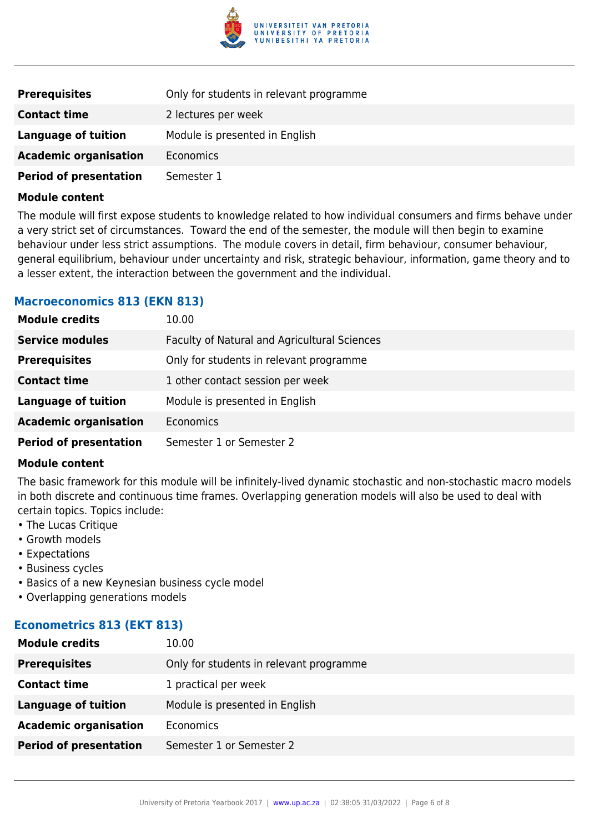

| <b>Prerequisites</b>          | Only for students in relevant programme |
|-------------------------------|-----------------------------------------|
| <b>Contact time</b>           | 2 lectures per week                     |
| Language of tuition           | Module is presented in English          |
| <b>Academic organisation</b>  | Economics                               |
| <b>Period of presentation</b> | Semester 1                              |

#### **Module content**

The module will first expose students to knowledge related to how individual consumers and firms behave under a very strict set of circumstances. Toward the end of the semester, the module will then begin to examine behaviour under less strict assumptions. The module covers in detail, firm behaviour, consumer behaviour, general equilibrium, behaviour under uncertainty and risk, strategic behaviour, information, game theory and to a lesser extent, the interaction between the government and the individual.

### **Macroeconomics 813 (EKN 813)**

| <b>Module credits</b>         | 10.00                                        |
|-------------------------------|----------------------------------------------|
| <b>Service modules</b>        | Faculty of Natural and Agricultural Sciences |
| <b>Prerequisites</b>          | Only for students in relevant programme      |
| <b>Contact time</b>           | 1 other contact session per week             |
| <b>Language of tuition</b>    | Module is presented in English               |
| <b>Academic organisation</b>  | Economics                                    |
| <b>Period of presentation</b> | Semester 1 or Semester 2                     |

#### **Module content**

The basic framework for this module will be infinitely-lived dynamic stochastic and non-stochastic macro models in both discrete and continuous time frames. Overlapping generation models will also be used to deal with certain topics. Topics include:

- The Lucas Critique
- Growth models
- Expectations
- Business cycles
- Basics of a new Keynesian business cycle model
- Overlapping generations models

### **Econometrics 813 (EKT 813)**

| <b>Module credits</b>         | 10.00                                   |
|-------------------------------|-----------------------------------------|
| <b>Prerequisites</b>          | Only for students in relevant programme |
| <b>Contact time</b>           | 1 practical per week                    |
| <b>Language of tuition</b>    | Module is presented in English          |
| <b>Academic organisation</b>  | Economics                               |
| <b>Period of presentation</b> | Semester 1 or Semester 2                |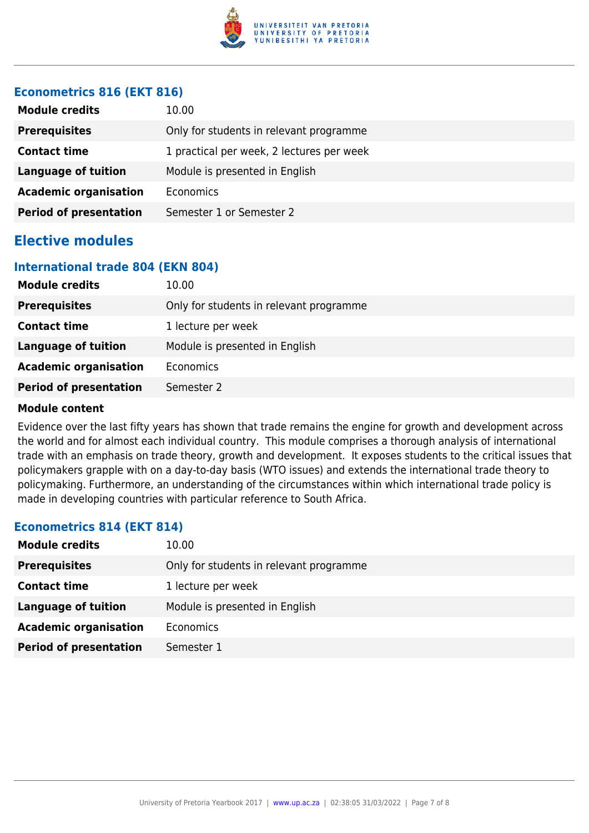

### **Econometrics 816 (EKT 816)**

| <b>Module credits</b>         | 10.00                                     |
|-------------------------------|-------------------------------------------|
| <b>Prerequisites</b>          | Only for students in relevant programme   |
| <b>Contact time</b>           | 1 practical per week, 2 lectures per week |
| <b>Language of tuition</b>    | Module is presented in English            |
| <b>Academic organisation</b>  | Economics                                 |
| <b>Period of presentation</b> | Semester 1 or Semester 2                  |

# **Elective modules**

#### **International trade 804 (EKN 804)**

| <b>Module credits</b>         | 10.00                                   |
|-------------------------------|-----------------------------------------|
| <b>Prerequisites</b>          | Only for students in relevant programme |
| <b>Contact time</b>           | 1 lecture per week                      |
| <b>Language of tuition</b>    | Module is presented in English          |
| <b>Academic organisation</b>  | Economics                               |
| <b>Period of presentation</b> | Semester 2                              |

#### **Module content**

Evidence over the last fifty years has shown that trade remains the engine for growth and development across the world and for almost each individual country. This module comprises a thorough analysis of international trade with an emphasis on trade theory, growth and development. It exposes students to the critical issues that policymakers grapple with on a day-to-day basis (WTO issues) and extends the international trade theory to policymaking. Furthermore, an understanding of the circumstances within which international trade policy is made in developing countries with particular reference to South Africa.

### **Econometrics 814 (EKT 814)**

| <b>Module credits</b>         | 10.00                                   |
|-------------------------------|-----------------------------------------|
| <b>Prerequisites</b>          | Only for students in relevant programme |
| <b>Contact time</b>           | 1 lecture per week                      |
| Language of tuition           | Module is presented in English          |
| <b>Academic organisation</b>  | <b>Economics</b>                        |
| <b>Period of presentation</b> | Semester 1                              |